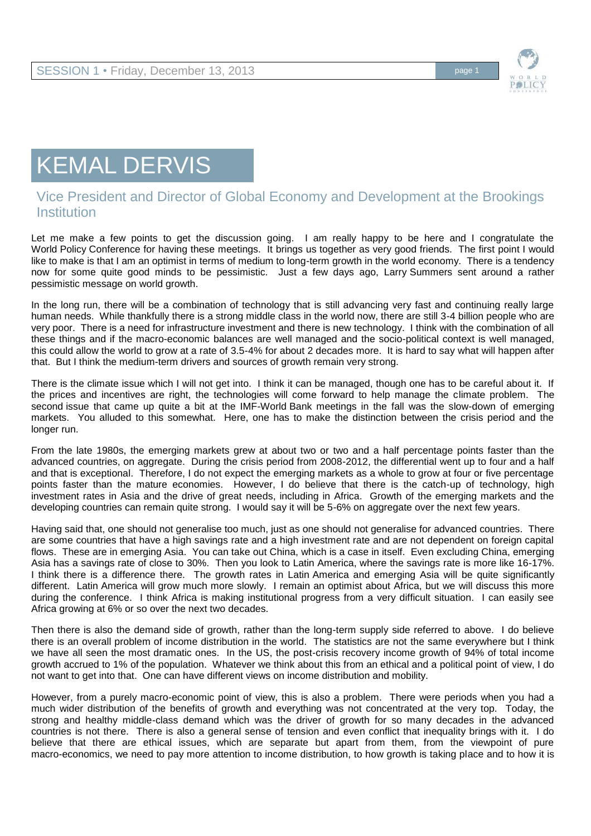

## KEMAL DERVIS

## Vice President and Director of Global Economy and Development at the Brookings **Institution**

Let me make a few points to get the discussion going. I am really happy to be here and I congratulate the World Policy Conference for having these meetings. It brings us together as very good friends. The first point I would like to make is that I am an optimist in terms of medium to long-term growth in the world economy. There is a tendency now for some quite good minds to be pessimistic. Just a few days ago, Larry Summers sent around a rather pessimistic message on world growth.

In the long run, there will be a combination of technology that is still advancing very fast and continuing really large human needs. While thankfully there is a strong middle class in the world now, there are still 3-4 billion people who are very poor. There is a need for infrastructure investment and there is new technology. I think with the combination of all these things and if the macro-economic balances are well managed and the socio-political context is well managed, this could allow the world to grow at a rate of 3.5-4% for about 2 decades more. It is hard to say what will happen after that. But I think the medium-term drivers and sources of growth remain very strong.

There is the climate issue which I will not get into. I think it can be managed, though one has to be careful about it. If the prices and incentives are right, the technologies will come forward to help manage the climate problem. The second issue that came up quite a bit at the IMF-World Bank meetings in the fall was the slow-down of emerging markets. You alluded to this somewhat. Here, one has to make the distinction between the crisis period and the longer run.

From the late 1980s, the emerging markets grew at about two or two and a half percentage points faster than the advanced countries, on aggregate. During the crisis period from 2008-2012, the differential went up to four and a half and that is exceptional. Therefore, I do not expect the emerging markets as a whole to grow at four or five percentage points faster than the mature economies. However, I do believe that there is the catch-up of technology, high investment rates in Asia and the drive of great needs, including in Africa. Growth of the emerging markets and the developing countries can remain quite strong. I would say it will be 5-6% on aggregate over the next few years.

Having said that, one should not generalise too much, just as one should not generalise for advanced countries. There are some countries that have a high savings rate and a high investment rate and are not dependent on foreign capital flows. These are in emerging Asia. You can take out China, which is a case in itself. Even excluding China, emerging Asia has a savings rate of close to 30%. Then you look to Latin America, where the savings rate is more like 16-17%. I think there is a difference there. The growth rates in Latin America and emerging Asia will be quite significantly different. Latin America will grow much more slowly. I remain an optimist about Africa, but we will discuss this more during the conference. I think Africa is making institutional progress from a very difficult situation. I can easily see Africa growing at 6% or so over the next two decades.

Then there is also the demand side of growth, rather than the long-term supply side referred to above. I do believe there is an overall problem of income distribution in the world. The statistics are not the same everywhere but I think we have all seen the most dramatic ones. In the US, the post-crisis recovery income growth of 94% of total income growth accrued to 1% of the population. Whatever we think about this from an ethical and a political point of view, I do not want to get into that. One can have different views on income distribution and mobility.

However, from a purely macro-economic point of view, this is also a problem. There were periods when you had a much wider distribution of the benefits of growth and everything was not concentrated at the very top. Today, the strong and healthy middle-class demand which was the driver of growth for so many decades in the advanced countries is not there. There is also a general sense of tension and even conflict that inequality brings with it. I do believe that there are ethical issues, which are separate but apart from them, from the viewpoint of pure macro-economics, we need to pay more attention to income distribution, to how growth is taking place and to how it is